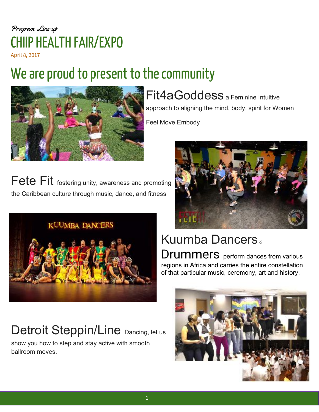#### Program Line-up CHIIP HEALTH FAIR/EXPO April 8, 2017

# We are proud to present to the community



Fit4aGoddess a Feminine Intuitive approach to aligning the mind, body, spirit for Women Feel Move Embody

Fete Fit fostering unity, awareness and promoting the Caribbean culture through music, dance, and fitness





#### Kuumba Dancers & Drummers perform dances from various regions in Africa and carries the entire constellation of that particular music, ceremony, art and history.

## Detroit Steppin/Line Dancing, let us

show you how to step and stay active with smooth ballroom moves.

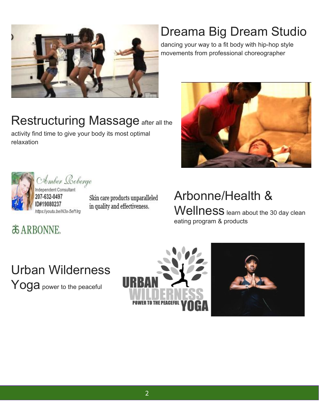

## Dreama Big Dream Studio

dancing your way to a fit body with hip-hop style movements from professional choreographer

### Restructuring Massage after all the

activity find time to give your body its most optimal relaxation





Amber Loberge

Independent Consultant 207-632-0497 ID#19080237 https://youtu.be/N3x-5ef1lrg

Skin care products unparalleled in quality and effectiveness.

#### Arbonne/Health & Wellness learn about the 30 day clean

eating program & products

**& ARBONNE.** 

Urban Wilderness Yoga power to the peaceful



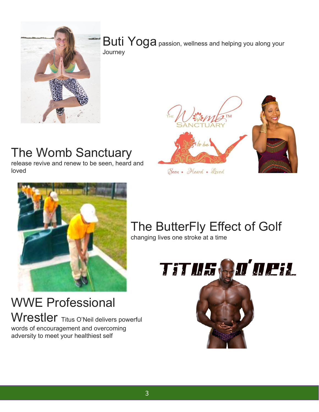

Buti Yoga passion, wellness and helping you along your Journey

#### The Womb Sanctuary

release revive and renew to be seen, heard and loved



WWE Professional Wrestler Titus O'Neil delivers powerful words of encouragement and overcoming adversity to meet your healthiest self







## The ButterFly Effect of Golf

changing lives one stroke at a time

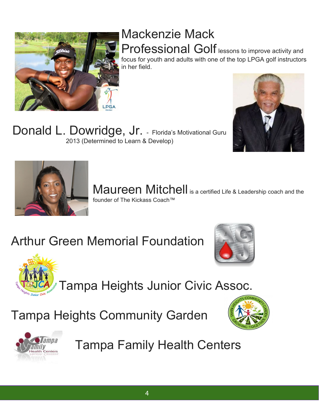#### Mackenzie Mack Professional Golf lessons to improve activity and

focus for youth and adults with one of the top LPGA golf instructors in her field.

Donald L. Dowridge, Jr. - Florida's Motivational Guru 2013 (Determined to Learn & Develop)





Maureen Mitchell is a certified Life & Leadership coach and the founder of The Kickass Coach™

# Arthur Green Memorial Foundation





Tampa Heights Junior Civic Assoc.

Tampa Heights Community Garden





Tampa Family Health Centers